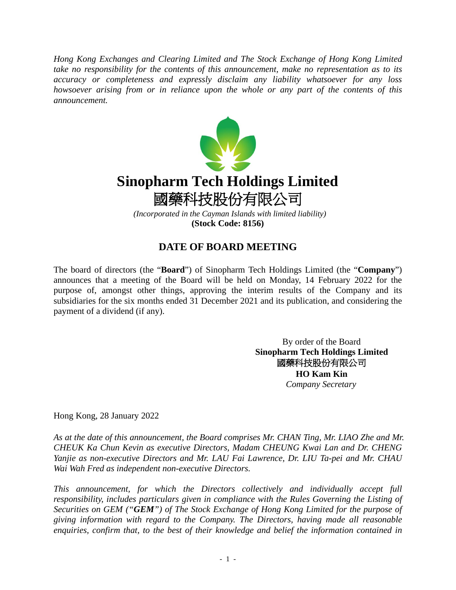*Hong Kong Exchanges and Clearing Limited and The Stock Exchange of Hong Kong Limited take no responsibility for the contents of this announcement, make no representation as to its accuracy or completeness and expressly disclaim any liability whatsoever for any loss howsoever arising from or in reliance upon the whole or any part of the contents of this announcement.*



## **DATE OF BOARD MEETING**

The board of directors (the "**Board**") of Sinopharm Tech Holdings Limited (the "**Company**") announces that a meeting of the Board will be held on Monday, 14 February 2022 for the purpose of, amongst other things, approving the interim results of the Company and its subsidiaries for the six months ended 31 December 2021 and its publication, and considering the payment of a dividend (if any).

> By order of the Board **Sinopharm Tech Holdings Limited** 國藥科技股份有限公司 **HO Kam Kin**  *Company Secretary*

Hong Kong, 28 January 2022

*As at the date of this announcement, the Board comprises Mr. CHAN Ting, Mr. LIAO Zhe and Mr. CHEUK Ka Chun Kevin as executive Directors, Madam CHEUNG Kwai Lan and Dr. CHENG Yanjie as non-executive Directors and Mr. LAU Fai Lawrence, Dr. LIU Ta-pei and Mr. CHAU Wai Wah Fred as independent non-executive Directors.*

*This announcement, for which the Directors collectively and individually accept full responsibility, includes particulars given in compliance with the Rules Governing the Listing of Securities on GEM ("GEM") of The Stock Exchange of Hong Kong Limited for the purpose of giving information with regard to the Company. The Directors, having made all reasonable enquiries, confirm that, to the best of their knowledge and belief the information contained in*